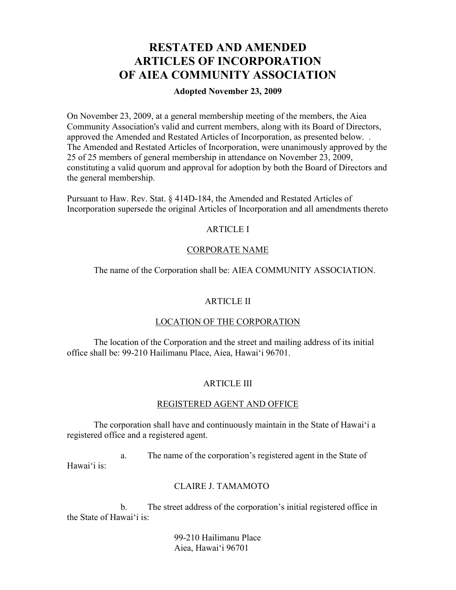# **RESTATED AND AMENDED ARTICLES OF INCORPORATION OF AIEA COMMUNITY ASSOCIATION**

# **Adopted November 23, 2009**

On November 23, 2009, at a general membership meeting of the members, the Aiea Community Association's valid and current members, along with its Board of Directors, approved the Amended and Restated Articles of Incorporation, as presented below. . The Amended and Restated Articles of Incorporation, were unanimously approved by the 25 of 25 members of general membership in attendance on November 23, 2009, constituting a valid quorum and approval for adoption by both the Board of Directors and the general membership.

Pursuant to Haw. Rev. Stat. § 414D-184, the Amended and Restated Articles of Incorporation supersede the original Articles of Incorporation and all amendments thereto

# ARTICLE I

# CORPORATE NAME

The name of the Corporation shall be: AIEA COMMUNITY ASSOCIATION.

# ARTICLE II

## LOCATION OF THE CORPORATION

The location of the Corporation and the street and mailing address of its initial office shall be: 99-210 Hailimanu Place, Aiea, Hawai'i 96701.

# ARTICLE III

#### REGISTERED AGENT AND OFFICE

The corporation shall have and continuously maintain in the State of Hawai'i a registered office and a registered agent.

a. The name of the corporation's registered agent in the State of Hawai'i is:

# CLAIRE J. TAMAMOTO

b. The street address of the corporation's initial registered office in the State of Hawai'i is:

> 99-210 Hailimanu Place Aiea, Hawai'i 96701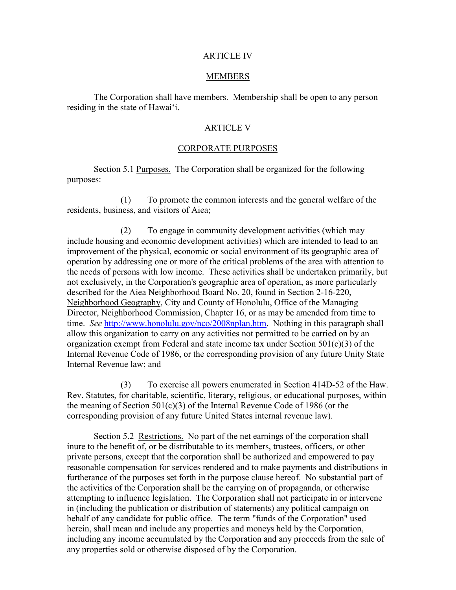#### ARTICLE IV

#### **MEMBERS**

The Corporation shall have members. Membership shall be open to any person residing in the state of Hawai'i.

## ARTICLE V

#### CORPORATE PURPOSES

Section 5.1 Purposes. The Corporation shall be organized for the following purposes:

(1) To promote the common interests and the general welfare of the residents, business, and visitors of Aiea;

(2) To engage in community development activities (which may include housing and economic development activities) which are intended to lead to an improvement of the physical, economic or social environment of its geographic area of operation by addressing one or more of the critical problems of the area with attention to the needs of persons with low income. These activities shall be undertaken primarily, but not exclusively, in the Corporation's geographic area of operation, as more particularly described for the Aiea Neighborhood Board No. 20, found in Section 2-16-220, Neighborhood Geography, City and County of Honolulu, Office of the Managing Director, Neighborhood Commission, Chapter 16, or as may be amended from time to time. *See* [http://www.honolulu.gov/nco/2008nplan.htm.](http://www.honolulu.gov/nco/2008nplan.htm) Nothing in this paragraph shall allow this organization to carry on any activities not permitted to be carried on by an organization exempt from Federal and state income tax under Section 501(c)(3) of the Internal Revenue Code of 1986, or the corresponding provision of any future Unity State Internal Revenue law; and

(3) To exercise all powers enumerated in Section 414D-52 of the Haw. Rev. Statutes, for charitable, scientific, literary, religious, or educational purposes, within the meaning of Section 501(c)(3) of the Internal Revenue Code of 1986 (or the corresponding provision of any future United States internal revenue law).

Section 5.2 Restrictions. No part of the net earnings of the corporation shall inure to the benefit of, or be distributable to its members, trustees, officers, or other private persons, except that the corporation shall be authorized and empowered to pay reasonable compensation for services rendered and to make payments and distributions in furtherance of the purposes set forth in the purpose clause hereof. No substantial part of the activities of the Corporation shall be the carrying on of propaganda, or otherwise attempting to influence legislation. The Corporation shall not participate in or intervene in (including the publication or distribution of statements) any political campaign on behalf of any candidate for public office. The term "funds of the Corporation" used herein, shall mean and include any properties and moneys held by the Corporation, including any income accumulated by the Corporation and any proceeds from the sale of any properties sold or otherwise disposed of by the Corporation.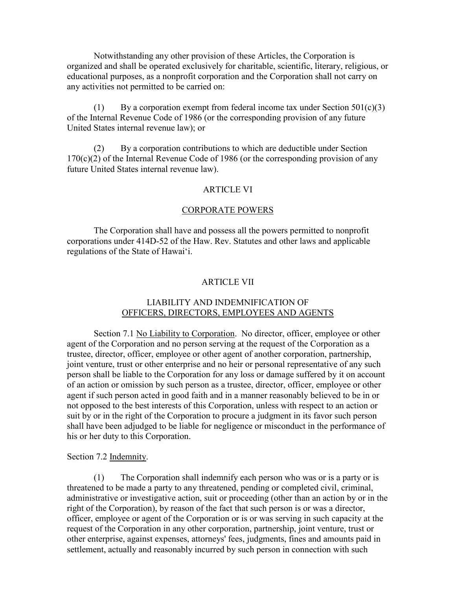Notwithstanding any other provision of these Articles, the Corporation is organized and shall be operated exclusively for charitable, scientific, literary, religious, or educational purposes, as a nonprofit corporation and the Corporation shall not carry on any activities not permitted to be carried on:

(1) By a corporation exempt from federal income tax under Section  $501(c)(3)$ of the Internal Revenue Code of 1986 (or the corresponding provision of any future United States internal revenue law); or

(2) By a corporation contributions to which are deductible under Section  $170(c)(2)$  of the Internal Revenue Code of 1986 (or the corresponding provision of any future United States internal revenue law).

## ARTICLE VI

#### CORPORATE POWERS

The Corporation shall have and possess all the powers permitted to nonprofit corporations under 414D-52 of the Haw. Rev. Statutes and other laws and applicable regulations of the State of Hawai'i.

## ARTICLE VII

# LIABILITY AND INDEMNIFICATION OF OFFICERS, DIRECTORS, EMPLOYEES AND AGENTS

Section 7.1 No Liability to Corporation. No director, officer, employee or other agent of the Corporation and no person serving at the request of the Corporation as a trustee, director, officer, employee or other agent of another corporation, partnership, joint venture, trust or other enterprise and no heir or personal representative of any such person shall be liable to the Corporation for any loss or damage suffered by it on account of an action or omission by such person as a trustee, director, officer, employee or other agent if such person acted in good faith and in a manner reasonably believed to be in or not opposed to the best interests of this Corporation, unless with respect to an action or suit by or in the right of the Corporation to procure a judgment in its favor such person shall have been adjudged to be liable for negligence or misconduct in the performance of his or her duty to this Corporation.

#### Section 7.2 Indemnity.

(1) The Corporation shall indemnify each person who was or is a party or is threatened to be made a party to any threatened, pending or completed civil, criminal, administrative or investigative action, suit or proceeding (other than an action by or in the right of the Corporation), by reason of the fact that such person is or was a director, officer, employee or agent of the Corporation or is or was serving in such capacity at the request of the Corporation in any other corporation, partnership, joint venture, trust or other enterprise, against expenses, attorneys' fees, judgments, fines and amounts paid in settlement, actually and reasonably incurred by such person in connection with such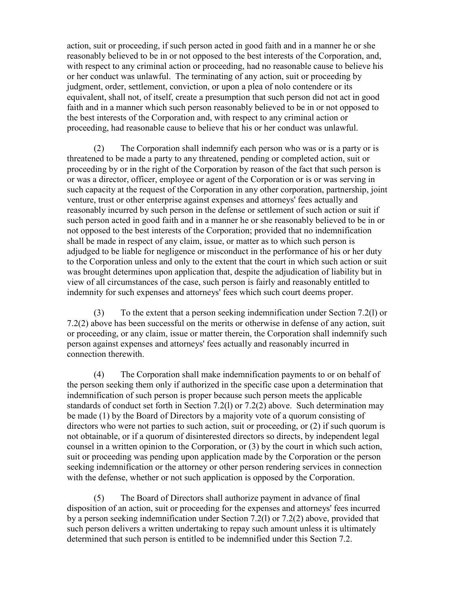action, suit or proceeding, if such person acted in good faith and in a manner he or she reasonably believed to be in or not opposed to the best interests of the Corporation, and, with respect to any criminal action or proceeding, had no reasonable cause to believe his or her conduct was unlawful. The terminating of any action, suit or proceeding by judgment, order, settlement, conviction, or upon a plea of nolo contendere or its equivalent, shall not, of itself, create a presumption that such person did not act in good faith and in a manner which such person reasonably believed to be in or not opposed to the best interests of the Corporation and, with respect to any criminal action or proceeding, had reasonable cause to believe that his or her conduct was unlawful.

(2) The Corporation shall indemnify each person who was or is a party or is threatened to be made a party to any threatened, pending or completed action, suit or proceeding by or in the right of the Corporation by reason of the fact that such person is or was a director, officer, employee or agent of the Corporation or is or was serving in such capacity at the request of the Corporation in any other corporation, partnership, joint venture, trust or other enterprise against expenses and attorneys' fees actually and reasonably incurred by such person in the defense or settlement of such action or suit if such person acted in good faith and in a manner he or she reasonably believed to be in or not opposed to the best interests of the Corporation; provided that no indemnification shall be made in respect of any claim, issue, or matter as to which such person is adjudged to be liable for negligence or misconduct in the performance of his or her duty to the Corporation unless and only to the extent that the court in which such action or suit was brought determines upon application that, despite the adjudication of liability but in view of all circumstances of the case, such person is fairly and reasonably entitled to indemnity for such expenses and attorneys' fees which such court deems proper.

(3) To the extent that a person seeking indemnification under Section 7.2(l) or 7.2(2) above has been successful on the merits or otherwise in defense of any action, suit or proceeding, or any claim, issue or matter therein, the Corporation shall indemnify such person against expenses and attorneys' fees actually and reasonably incurred in connection therewith.

(4) The Corporation shall make indemnification payments to or on behalf of the person seeking them only if authorized in the specific case upon a determination that indemnification of such person is proper because such person meets the applicable standards of conduct set forth in Section 7.2(1) or 7.2(2) above. Such determination may be made (1) by the Board of Directors by a majority vote of a quorum consisting of directors who were not parties to such action, suit or proceeding, or (2) if such quorum is not obtainable, or if a quorum of disinterested directors so directs, by independent legal counsel in a written opinion to the Corporation, or (3) by the court in which such action, suit or proceeding was pending upon application made by the Corporation or the person seeking indemnification or the attorney or other person rendering services in connection with the defense, whether or not such application is opposed by the Corporation.

(5) The Board of Directors shall authorize payment in advance of final disposition of an action, suit or proceeding for the expenses and attorneys' fees incurred by a person seeking indemnification under Section 7.2(l) or 7.2(2) above, provided that such person delivers a written undertaking to repay such amount unless it is ultimately determined that such person is entitled to be indemnified under this Section 7.2.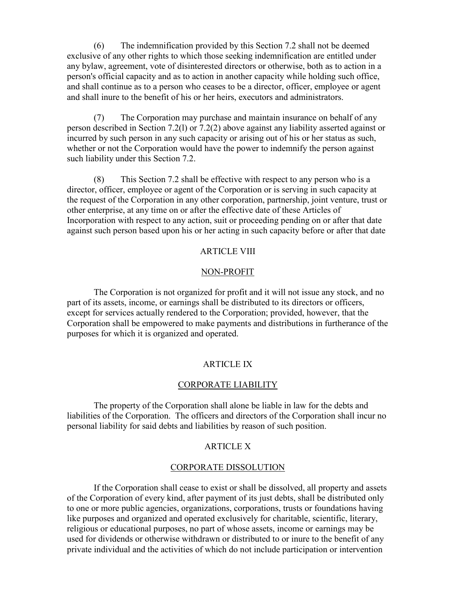(6) The indemnification provided by this Section 7.2 shall not be deemed exclusive of any other rights to which those seeking indemnification are entitled under any bylaw, agreement, vote of disinterested directors or otherwise, both as to action in a person's official capacity and as to action in another capacity while holding such office, and shall continue as to a person who ceases to be a director, officer, employee or agent and shall inure to the benefit of his or her heirs, executors and administrators.

(7) The Corporation may purchase and maintain insurance on behalf of any person described in Section 7.2(l) or 7.2(2) above against any liability asserted against or incurred by such person in any such capacity or arising out of his or her status as such, whether or not the Corporation would have the power to indemnify the person against such liability under this Section 7.2.

(8) This Section 7.2 shall be effective with respect to any person who is a director, officer, employee or agent of the Corporation or is serving in such capacity at the request of the Corporation in any other corporation, partnership, joint venture, trust or other enterprise, at any time on or after the effective date of these Articles of Incorporation with respect to any action, suit or proceeding pending on or after that date against such person based upon his or her acting in such capacity before or after that date

## ARTICLE VIII

#### NON-PROFIT

The Corporation is not organized for profit and it will not issue any stock, and no part of its assets, income, or earnings shall be distributed to its directors or officers, except for services actually rendered to the Corporation; provided, however, that the Corporation shall be empowered to make payments and distributions in furtherance of the purposes for which it is organized and operated.

# ARTICLE IX

## CORPORATE LIABILITY

The property of the Corporation shall alone be liable in law for the debts and liabilities of the Corporation. The officers and directors of the Corporation shall incur no personal liability for said debts and liabilities by reason of such position.

# ARTICLE X

# CORPORATE DISSOLUTION

If the Corporation shall cease to exist or shall be dissolved, all property and assets of the Corporation of every kind, after payment of its just debts, shall be distributed only to one or more public agencies, organizations, corporations, trusts or foundations having like purposes and organized and operated exclusively for charitable, scientific, literary, religious or educational purposes, no part of whose assets, income or earnings may be used for dividends or otherwise withdrawn or distributed to or inure to the benefit of any private individual and the activities of which do not include participation or intervention